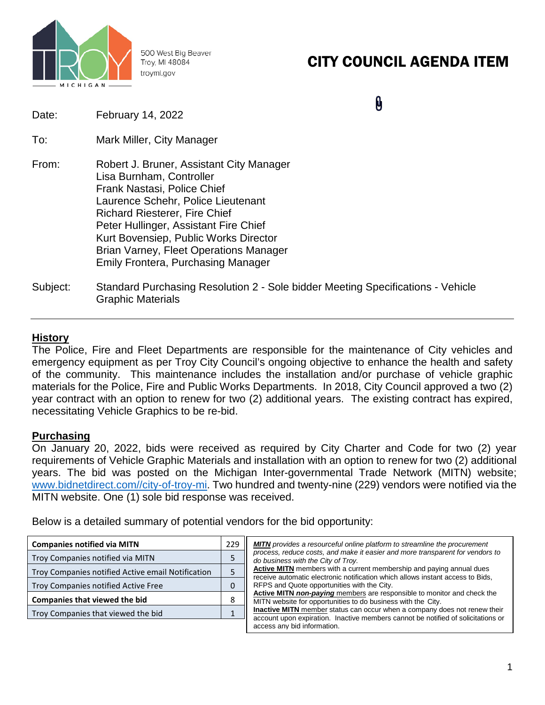

500 West Big Beaver Troy, MI 48084 troymi.gov

### CITY COUNCIL AGENDA ITEM

 $\pmb{\theta}$ Date: February 14, 2022 To: Mark Miller, City Manager From: Robert J. Bruner, Assistant City Manager Lisa Burnham, Controller Frank Nastasi, Police Chief Laurence Schehr, Police Lieutenant Richard Riesterer, Fire Chief Peter Hullinger, Assistant Fire Chief Kurt Bovensiep, Public Works Director Brian Varney, Fleet Operations Manager Emily Frontera, Purchasing Manager Subject: Standard Purchasing Resolution 2 - Sole bidder Meeting Specifications - Vehicle Graphic Materials

#### **History**

The Police, Fire and Fleet Departments are responsible for the maintenance of City vehicles and emergency equipment as per Troy City Council's ongoing objective to enhance the health and safety of the community. This maintenance includes the installation and/or purchase of vehicle graphic materials for the Police, Fire and Public Works Departments. In 2018, City Council approved a two (2) year contract with an option to renew for two (2) additional years. The existing contract has expired, necessitating Vehicle Graphics to be re-bid.

#### **Purchasing**

On January 20, 2022, bids were received as required by City Charter and Code for two (2) year requirements of Vehicle Graphic Materials and installation with an option to renew for two (2) additional years. The bid was posted on the Michigan Inter-governmental Trade Network (MITN) website; [www.bidnetdirect.com//city-of-troy-mi.](http://www.bidnetdirect.com/city-of-troy-mi) Two hundred and twenty-nine (229) vendors were notified via the MITN website. One (1) sole bid response was received.

Below is a detailed summary of potential vendors for the bid opportunity:

| <b>Companies notified via MITN</b>                | 229 | <b>MITN</b> provides a resourceful online platform to streamline the procurement                                                                                     |  |  |  |  |
|---------------------------------------------------|-----|----------------------------------------------------------------------------------------------------------------------------------------------------------------------|--|--|--|--|
| Troy Companies notified via MITN                  |     | process, reduce costs, and make it easier and more transparent for vendors to<br>do business with the City of Troy.                                                  |  |  |  |  |
| Troy Companies notified Active email Notification |     | Active MITN members with a current membership and paying annual dues<br>receive automatic electronic notification which allows instant access to Bids,               |  |  |  |  |
| Troy Companies notified Active Free               |     | RFPS and Quote opportunities with the City.                                                                                                                          |  |  |  |  |
| <b>Companies that viewed the bid</b>              |     | Active MITN non-paying members are responsible to monitor and check the<br>MITN website for opportunities to do business with the City.                              |  |  |  |  |
| Troy Companies that viewed the bid                |     | <b>Inactive MITN</b> member status can occur when a company does not renew their<br>account upon expiration. Inactive members cannot be notified of solicitations or |  |  |  |  |
|                                                   |     | access any bid information.                                                                                                                                          |  |  |  |  |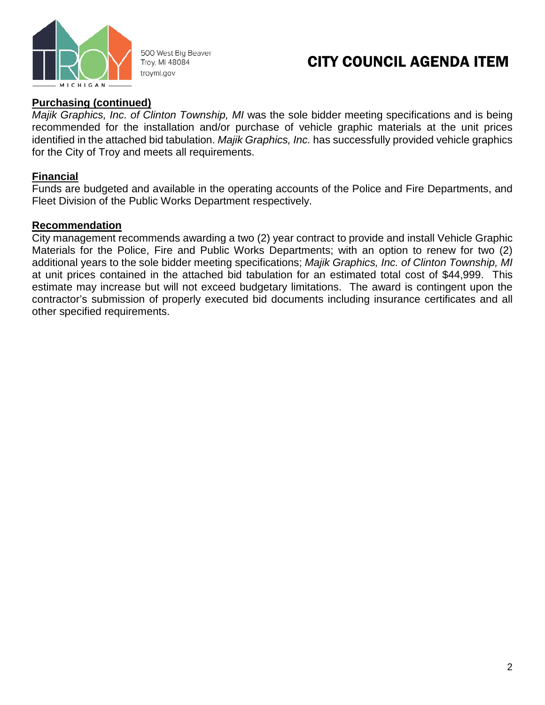

500 West Big Beaver Troy, MI 48084 troymi.gov

### CITY COUNCIL AGENDA ITEM

#### **Purchasing (continued)**

*Majik Graphics, Inc. of Clinton Township, MI* was the sole bidder meeting specifications and is being recommended for the installation and/or purchase of vehicle graphic materials at the unit prices identified in the attached bid tabulation. *Majik Graphics, Inc.* has successfully provided vehicle graphics for the City of Troy and meets all requirements.

#### **Financial**

Funds are budgeted and available in the operating accounts of the Police and Fire Departments, and Fleet Division of the Public Works Department respectively.

#### **Recommendation**

City management recommends awarding a two (2) year contract to provide and install Vehicle Graphic Materials for the Police, Fire and Public Works Departments; with an option to renew for two (2) additional years to the sole bidder meeting specifications; *Majik Graphics, Inc. of Clinton Township, MI* at unit prices contained in the attached bid tabulation for an estimated total cost of \$44,999. This estimate may increase but will not exceed budgetary limitations. The award is contingent upon the contractor's submission of properly executed bid documents including insurance certificates and all other specified requirements.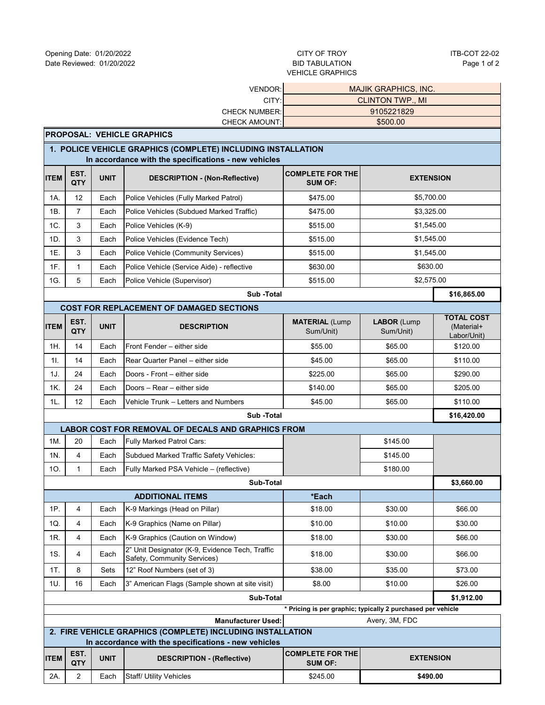## VEHICLE GRAPHICS

| VENDOR:                                                                                                              |                                                              |             |                                                                                | <b>MAJIK GRAPHICS, INC.</b>                                   |                                 |                                                |  |  |  |
|----------------------------------------------------------------------------------------------------------------------|--------------------------------------------------------------|-------------|--------------------------------------------------------------------------------|---------------------------------------------------------------|---------------------------------|------------------------------------------------|--|--|--|
| CITY:                                                                                                                |                                                              |             |                                                                                | <b>CLINTON TWP., MI</b>                                       |                                 |                                                |  |  |  |
| <b>CHECK NUMBER:</b>                                                                                                 |                                                              |             | <b>CHECK AMOUNT:</b>                                                           | 9105221829<br>\$500.00                                        |                                 |                                                |  |  |  |
|                                                                                                                      | <b>PROPOSAL: VEHICLE GRAPHICS</b>                            |             |                                                                                |                                                               |                                 |                                                |  |  |  |
| 1. POLICE VEHICLE GRAPHICS (COMPLETE) INCLUDING INSTALLATION<br>In accordance with the specifications - new vehicles |                                                              |             |                                                                                |                                                               |                                 |                                                |  |  |  |
| ITEM                                                                                                                 | EST.<br>QTY                                                  | <b>UNIT</b> | <b>DESCRIPTION - (Non-Reflective)</b>                                          | <b>COMPLETE FOR THE</b><br><b>EXTENSION</b><br><b>SUM OF:</b> |                                 |                                                |  |  |  |
| 1A.                                                                                                                  | 12                                                           | Each        | Police Vehicles (Fully Marked Patrol)                                          | \$475.00                                                      | \$5,700.00                      |                                                |  |  |  |
| 1B.                                                                                                                  | $\overline{7}$                                               | Each        | Police Vehicles (Subdued Marked Traffic)                                       | \$475.00                                                      | \$3,325.00                      |                                                |  |  |  |
| 1C.                                                                                                                  | 3                                                            | Each        | Police Vehicles (K-9)                                                          | \$515.00                                                      | \$1,545.00                      |                                                |  |  |  |
| 1D.                                                                                                                  | 3                                                            | Each        | Police Vehicles (Evidence Tech)                                                | \$515.00                                                      | \$1,545.00                      |                                                |  |  |  |
| 1E.                                                                                                                  | 3                                                            | Each        | Police Vehicle (Community Services)                                            | \$515.00                                                      | \$1,545.00                      |                                                |  |  |  |
| 1F.                                                                                                                  | 1                                                            | Each        | Police Vehicle (Service Aide) - reflective                                     | \$630.00                                                      | \$630.00                        |                                                |  |  |  |
| 1G.                                                                                                                  | 5                                                            | Each        | Police Vehicle (Supervisor)                                                    | \$515.00                                                      | \$2,575.00                      |                                                |  |  |  |
|                                                                                                                      |                                                              |             | Sub-Total                                                                      |                                                               |                                 | \$16,865.00                                    |  |  |  |
|                                                                                                                      |                                                              |             | <b>COST FOR REPLACEMENT OF DAMAGED SECTIONS</b>                                |                                                               |                                 |                                                |  |  |  |
| <b>ITEM</b>                                                                                                          | EST.<br>QTY                                                  | <b>UNIT</b> | <b>DESCRIPTION</b>                                                             | <b>MATERIAL (Lump</b><br>Sum/Unit)                            | <b>LABOR (Lump</b><br>Sum/Unit) | <b>TOTAL COST</b><br>(Material+<br>Labor/Unit) |  |  |  |
| 1H.                                                                                                                  | 14                                                           | Each        | Front Fender - either side                                                     | \$55.00                                                       | \$65.00                         | \$120.00                                       |  |  |  |
| 11.                                                                                                                  | 14                                                           | Each        | Rear Quarter Panel - either side                                               | \$45.00                                                       | \$65.00                         | \$110.00                                       |  |  |  |
| 1J.                                                                                                                  | 24                                                           | Each        | Doors - Front - either side                                                    | \$225.00                                                      | \$65.00                         | \$290.00                                       |  |  |  |
| 1K.                                                                                                                  | 24                                                           | Each        | Doors - Rear - either side                                                     | \$140.00                                                      | \$65.00                         | \$205.00                                       |  |  |  |
| 1L.                                                                                                                  | 12                                                           | Each        | Vehicle Trunk – Letters and Numbers                                            | \$45.00                                                       | \$65.00                         | \$110.00                                       |  |  |  |
|                                                                                                                      |                                                              |             | Sub-Total                                                                      |                                                               |                                 | \$16,420.00                                    |  |  |  |
|                                                                                                                      |                                                              |             | LABOR COST FOR REMOVAL OF DECALS AND GRAPHICS FROM                             |                                                               |                                 |                                                |  |  |  |
| 1M.                                                                                                                  | 20                                                           | Each        | Fully Marked Patrol Cars:                                                      |                                                               | \$145.00                        |                                                |  |  |  |
| 1N.                                                                                                                  | 4                                                            | Each        | Subdued Marked Traffic Safety Vehicles:                                        |                                                               | \$145.00                        |                                                |  |  |  |
| 10.                                                                                                                  | $\mathbf{1}$                                                 | Each        | Fully Marked PSA Vehicle - (reflective)                                        |                                                               | \$180.00                        |                                                |  |  |  |
|                                                                                                                      |                                                              |             | Sub-Total                                                                      |                                                               |                                 | \$3,660.00                                     |  |  |  |
|                                                                                                                      |                                                              |             | <b>ADDITIONAL ITEMS</b>                                                        | *Each                                                         |                                 |                                                |  |  |  |
| 1P.                                                                                                                  | $\overline{4}$                                               | Each        | K-9 Markings (Head on Pillar)                                                  | \$18.00                                                       | \$30.00                         | \$66.00                                        |  |  |  |
| 1Q.                                                                                                                  | 4                                                            | Each        | K-9 Graphics (Name on Pillar)                                                  | \$10.00                                                       | \$10.00                         | \$30.00                                        |  |  |  |
| 1R.                                                                                                                  | 4                                                            | Each        | K-9 Graphics (Caution on Window)                                               | \$18.00                                                       | \$30.00                         | \$66.00                                        |  |  |  |
| 1S.                                                                                                                  | 4                                                            | Each        | 2" Unit Designator (K-9, Evidence Tech, Traffic<br>Safety, Community Services) | \$18.00                                                       | \$30.00                         | \$66.00                                        |  |  |  |
| 1T.                                                                                                                  | 8                                                            | Sets        | 12" Roof Numbers (set of 3)                                                    | \$38.00                                                       | \$35.00                         | \$73.00                                        |  |  |  |
| 1U.                                                                                                                  | 16<br>3" American Flags (Sample shown at site visit)<br>Each |             | \$8.00                                                                         | \$10.00                                                       | \$26.00                         |                                                |  |  |  |
| Sub-Total<br>\$1,912.00                                                                                              |                                                              |             |                                                                                |                                                               |                                 |                                                |  |  |  |
| * Pricing is per graphic; typically 2 purchased per vehicle<br>Avery, 3M, FDC<br><b>Manufacturer Used:</b>           |                                                              |             |                                                                                |                                                               |                                 |                                                |  |  |  |
| 2. FIRE VEHICLE GRAPHICS (COMPLETE) INCLUDING INSTALLATION                                                           |                                                              |             |                                                                                |                                                               |                                 |                                                |  |  |  |
| In accordance with the specifications - new vehicles                                                                 |                                                              |             |                                                                                |                                                               |                                 |                                                |  |  |  |
| <b>ITEM</b>                                                                                                          | EST.<br>QTY                                                  | <b>UNIT</b> | <b>DESCRIPTION - (Reflective)</b>                                              | <b>COMPLETE FOR THE</b><br><b>SUM OF:</b>                     | <b>EXTENSION</b>                |                                                |  |  |  |

**\$490.00**

2A. 2 Each Staff/ Utility Vehicles **\$245.00**